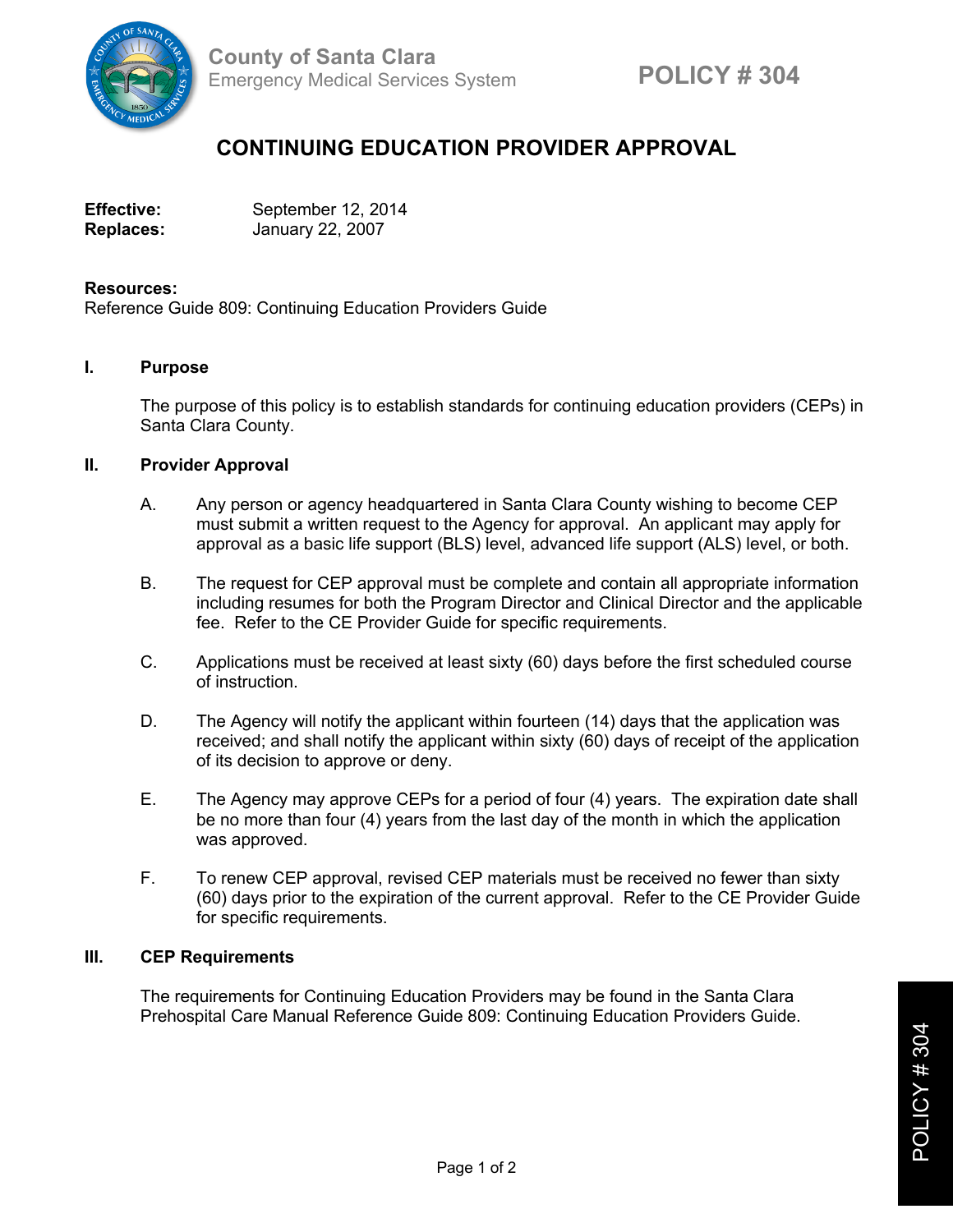

# **CONTINUING EDUCATION PROVIDER APPROVAL**

| <b>Effective:</b> | September 12, 2014 |
|-------------------|--------------------|
| <b>Replaces:</b>  | January 22, 2007   |

#### **Resources:**

Reference Guide 809: Continuing Education Providers Guide

#### **I. Purpose**

The purpose of this policy is to establish standards for continuing education providers (CEPs) in Santa Clara County.

## **II. Provider Approval**

- A. Any person or agency headquartered in Santa Clara County wishing to become CEP must submit a written request to the Agency for approval. An applicant may apply for approval as a basic life support (BLS) level, advanced life support (ALS) level, or both.
- B. The request for CEP approval must be complete and contain all appropriate information including resumes for both the Program Director and Clinical Director and the applicable fee. Refer to the CE Provider Guide for specific requirements.
- C. Applications must be received at least sixty (60) days before the first scheduled course of instruction.
- D. The Agency will notify the applicant within fourteen (14) days that the application was received; and shall notify the applicant within sixty (60) days of receipt of the application of its decision to approve or deny.
- E. The Agency may approve CEPs for a period of four (4) years. The expiration date shall be no more than four (4) years from the last day of the month in which the application was approved.
- F. To renew CEP approval, revised CEP materials must be received no fewer than sixty (60) days prior to the expiration of the current approval. Refer to the CE Provider Guide for specific requirements.

## **III. CEP Requirements**

The requirements for Continuing Education Providers may be found in the Santa Clara Prehospital Care Manual Reference Guide 809: Continuing Education Providers Guide.